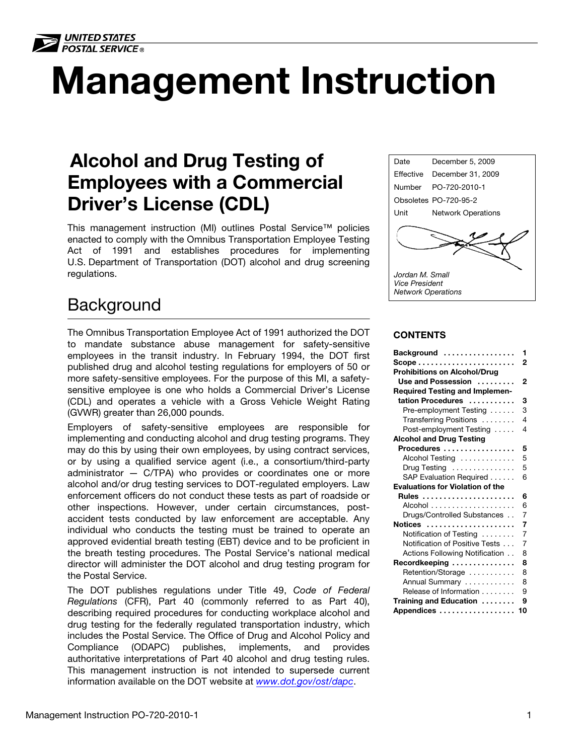

# Management Instruction

# Alcohol and Drug Testing of Employees with a Commercial Driver's License (CDL)

This management instruction (MI) outlines Postal Service™ policies enacted to comply with the Omnibus Transportation Employee Testing Act of 1991 and establishes procedures for implementing U.S. Department of Transportation (DOT) alcohol and drug screening regulations.

# <span id="page-0-0"></span>**Background**

The Omnibus Transportation Employee Act of 1991 authorized the DOT to mandate substance abuse management for safety-sensitive employees in the transit industry. In February 1994, the DOT first published drug and alcohol testing regulations for employers of 50 or more safety-sensitive employees. For the purpose of this MI, a safetysensitive employee is one who holds a Commercial Driver's License (CDL) and operates a vehicle with a Gross Vehicle Weight Rating (GVWR) greater than 26,000 pounds.

Employers of safety-sensitive employees are responsible for implementing and conducting alcohol and drug testing programs. They may do this by using their own employees, by using contract services, or by using a qualified service agent (i.e., a consortium/third-party administrator — C/TPA) who provides or coordinates one or more alcohol and/or drug testing services to DOT-regulated employers. Law enforcement officers do not conduct these tests as part of roadside or other inspections. However, under certain circumstances, postaccident tests conducted by law enforcement are acceptable. Any individual who conducts the testing must be trained to operate an approved evidential breath testing (EBT) device and to be proficient in the breath testing procedures. The Postal Service's national medical director will administer the DOT alcohol and drug testing program for the Postal Service.

The DOT publishes regulations under Title 49, Code of Federal Regulations (CFR), Part 40 (commonly referred to as Part 40), describing required procedures for conducting workplace alcohol and drug testing for the federally regulated transportation industry, which includes the Postal Service. The Office of Drug and Alcohol Policy and Compliance (ODAPC) publishes, implements, and provides authoritative interpretations of Part 40 alcohol and drug testing rules. This management instruction is not intended to supersede current information available on the DOT website at <www.dot.gov/ost/dapc>.



#### **CONTENTS**

| Background                                              | 1              |
|---------------------------------------------------------|----------------|
| $Scope \dots \dots \dots \dots \dots \dots \dots \dots$ | 2              |
| <b>Prohibitions on Alcohol/Drug</b>                     |                |
| Use and Possession                                      | 2              |
| <b>Required Testing and Implemen-</b>                   |                |
| tation Procedures                                       | 3              |
| Pre-employment Testing                                  | 3              |
| Transferring Positions                                  | 4              |
| Post-employment Testing                                 | 4              |
| <b>Alcohol and Drug Testing</b>                         |                |
| Procedures                                              | 5              |
| Alcohol Testing                                         | 5              |
| Drug Testing                                            | 5              |
| SAP Evaluation Required                                 | 6              |
| <b>Evaluations for Violation of the</b>                 |                |
| <b>Rules</b>                                            | 6              |
|                                                         | 6              |
| Drugs/Controlled Substances                             | 7              |
| Notices                                                 | 7              |
| Notification of Testing                                 | $\overline{7}$ |
| Notification of Positive Tests                          | 7              |
| Actions Following Notification                          | 8              |
| Recordkeeping                                           | 8              |
| Retention/Storage                                       | 8              |
| Annual Summary                                          | 8              |
| Release of Information                                  | 9              |
| Training and Education                                  | 9              |
| Appendices                                              | 10             |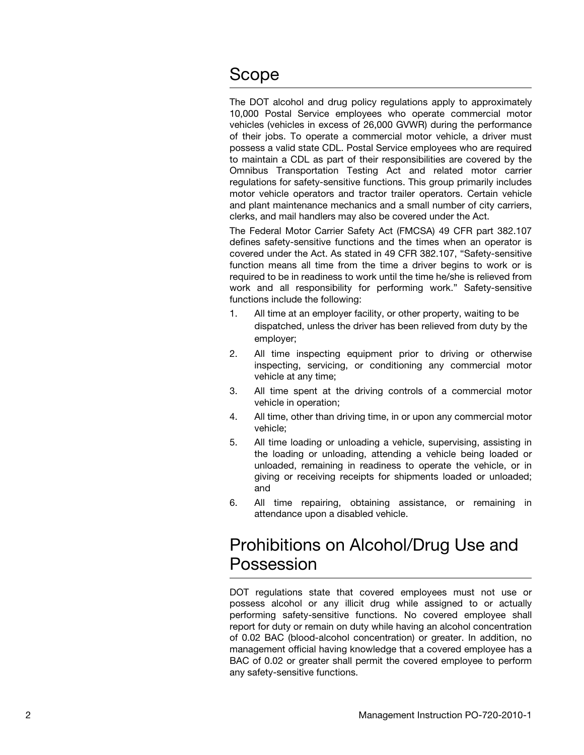# <span id="page-1-0"></span>Scope

The DOT alcohol and drug policy regulations apply to approximately 10,000 Postal Service employees who operate commercial motor vehicles (vehicles in excess of 26,000 GVWR) during the performance of their jobs. To operate a commercial motor vehicle, a driver must possess a valid state CDL. Postal Service employees who are required to maintain a CDL as part of their responsibilities are covered by the Omnibus Transportation Testing Act and related motor carrier regulations for safety-sensitive functions. This group primarily includes motor vehicle operators and tractor trailer operators. Certain vehicle and plant maintenance mechanics and a small number of city carriers, clerks, and mail handlers may also be covered under the Act.

The Federal Motor Carrier Safety Act (FMCSA) 49 CFR part 382.107 defines safety-sensitive functions and the times when an operator is covered under the Act. As stated in 49 CFR 382.107, "Safety-sensitive function means all time from the time a driver begins to work or is required to be in readiness to work until the time he/she is relieved from work and all responsibility for performing work." Safety-sensitive functions include the following:

- 1. All time at an employer facility, or other property, waiting to be dispatched, unless the driver has been relieved from duty by the employer;
- 2. All time inspecting equipment prior to driving or otherwise inspecting, servicing, or conditioning any commercial motor vehicle at any time;
- 3. All time spent at the driving controls of a commercial motor vehicle in operation;
- 4. All time, other than driving time, in or upon any commercial motor vehicle;
- 5. All time loading or unloading a vehicle, supervising, assisting in the loading or unloading, attending a vehicle being loaded or unloaded, remaining in readiness to operate the vehicle, or in giving or receiving receipts for shipments loaded or unloaded; and
- 6. All time repairing, obtaining assistance, or remaining in attendance upon a disabled vehicle.

# <span id="page-1-1"></span>Prohibitions on Alcohol/Drug Use and Possession

DOT regulations state that covered employees must not use or possess alcohol or any illicit drug while assigned to or actually performing safety-sensitive functions. No covered employee shall report for duty or remain on duty while having an alcohol concentration of 0.02 BAC (blood-alcohol concentration) or greater. In addition, no management official having knowledge that a covered employee has a BAC of 0.02 or greater shall permit the covered employee to perform any safety-sensitive functions.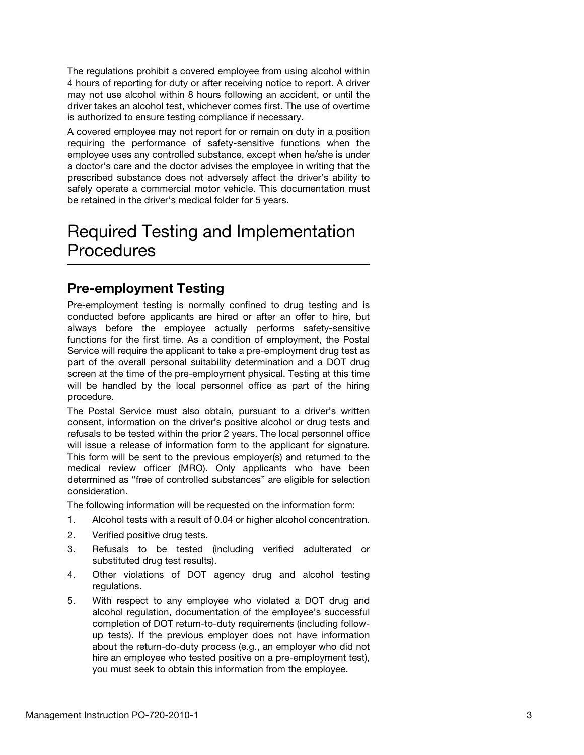The regulations prohibit a covered employee from using alcohol within 4 hours of reporting for duty or after receiving notice to report. A driver may not use alcohol within 8 hours following an accident, or until the driver takes an alcohol test, whichever comes first. The use of overtime is authorized to ensure testing compliance if necessary.

A covered employee may not report for or remain on duty in a position requiring the performance of safety-sensitive functions when the employee uses any controlled substance, except when he/she is under a doctor's care and the doctor advises the employee in writing that the prescribed substance does not adversely affect the driver's ability to safely operate a commercial motor vehicle. This documentation must be retained in the driver's medical folder for 5 years.

# <span id="page-2-0"></span>Required Testing and Implementation **Procedures**

## <span id="page-2-1"></span>Pre-employment Testing

Pre-employment testing is normally confined to drug testing and is conducted before applicants are hired or after an offer to hire, but always before the employee actually performs safety-sensitive functions for the first time. As a condition of employment, the Postal Service will require the applicant to take a pre-employment drug test as part of the overall personal suitability determination and a DOT drug screen at the time of the pre-employment physical. Testing at this time will be handled by the local personnel office as part of the hiring procedure.

The Postal Service must also obtain, pursuant to a driver's written consent, information on the driver's positive alcohol or drug tests and refusals to be tested within the prior 2 years. The local personnel office will issue a release of information form to the applicant for signature. This form will be sent to the previous employer(s) and returned to the medical review officer (MRO). Only applicants who have been determined as "free of controlled substances" are eligible for selection consideration.

The following information will be requested on the information form:

- 1. Alcohol tests with a result of 0.04 or higher alcohol concentration.
- 2. Verified positive drug tests.
- 3. Refusals to be tested (including verified adulterated or substituted drug test results).
- 4. Other violations of DOT agency drug and alcohol testing regulations.
- 5. With respect to any employee who violated a DOT drug and alcohol regulation, documentation of the employee's successful completion of DOT return-to-duty requirements (including followup tests). If the previous employer does not have information about the return-do-duty process (e.g., an employer who did not hire an employee who tested positive on a pre-employment test), you must seek to obtain this information from the employee.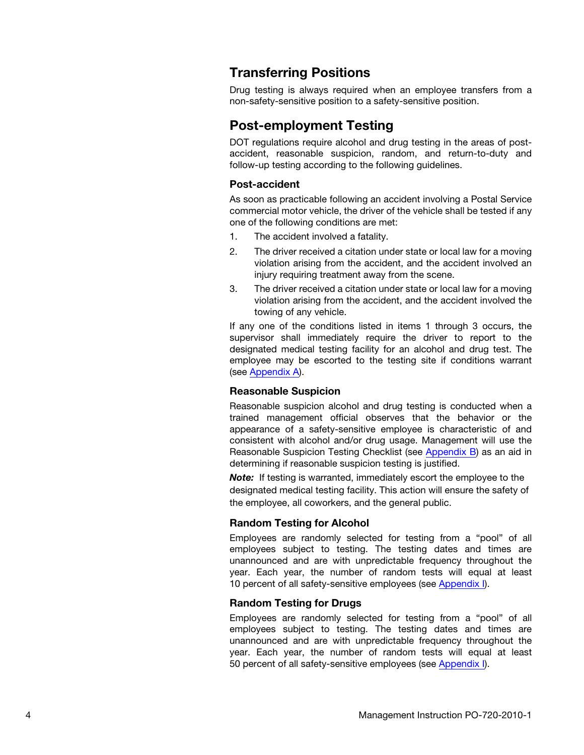## <span id="page-3-0"></span>Transferring Positions

Drug testing is always required when an employee transfers from a non-safety-sensitive position to a safety-sensitive position.

#### <span id="page-3-1"></span>Post-employment Testing

DOT regulations require alcohol and drug testing in the areas of postaccident, reasonable suspicion, random, and return-to-duty and follow-up testing according to the following guidelines.

#### Post-accident

As soon as practicable following an accident involving a Postal Service commercial motor vehicle, the driver of the vehicle shall be tested if any one of the following conditions are met:

- 1. The accident involved a fatality.
- 2. The driver received a citation under state or local law for a moving violation arising from the accident, and the accident involved an injury requiring treatment away from the scene.
- 3. The driver received a citation under state or local law for a moving violation arising from the accident, and the accident involved the towing of any vehicle.

If any one of the conditions listed in items 1 through 3 occurs, the supervisor shall immediately require the driver to report to the designated medical testing facility for an alcohol and drug test. The employee may be escorted to the testing site if conditions warrant (see [Appendix A\)](#page-9-0).

#### Reasonable Suspicion

Reasonable suspicion alcohol and drug testing is conducted when a trained management official observes that the behavior or the appearance of a safety-sensitive employee is characteristic of and consistent with alcohol and/or drug usage. Management will use the Reasonable Suspicion Testing Checklist (see [Appendix B](#page-10-0)) as an aid in determining if reasonable suspicion testing is justified.

Note: If testing is warranted, immediately escort the employee to the designated medical testing facility. This action will ensure the safety of the employee, all coworkers, and the general public.

#### Random Testing for Alcohol

Employees are randomly selected for testing from a "pool" of all employees subject to testing. The testing dates and times are unannounced and are with unpredictable frequency throughout the year. Each year, the number of random tests will equal at least 10 percent of all safety-sensitive employees (see [Appendix I](#page-20-0)).

#### Random Testing for Drugs

Employees are randomly selected for testing from a "pool" of all employees subject to testing. The testing dates and times are unannounced and are with unpredictable frequency throughout the year. Each year, the number of random tests will equal at least 50 percent of all safety-sensitive employees (see [Appendix I](#page-20-0)).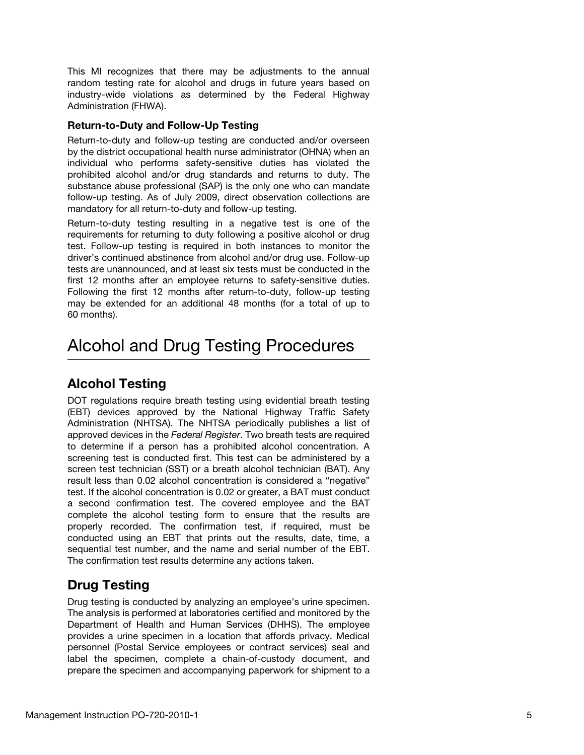This MI recognizes that there may be adjustments to the annual random testing rate for alcohol and drugs in future years based on industry-wide violations as determined by the Federal Highway Administration (FHWA).

#### Return-to-Duty and Follow-Up Testing

Return-to-duty and follow-up testing are conducted and/or overseen by the district occupational health nurse administrator (OHNA) when an individual who performs safety-sensitive duties has violated the prohibited alcohol and/or drug standards and returns to duty. The substance abuse professional (SAP) is the only one who can mandate follow-up testing. As of July 2009, direct observation collections are mandatory for all return-to-duty and follow-up testing.

Return-to-duty testing resulting in a negative test is one of the requirements for returning to duty following a positive alcohol or drug test. Follow-up testing is required in both instances to monitor the driver's continued abstinence from alcohol and/or drug use. Follow-up tests are unannounced, and at least six tests must be conducted in the first 12 months after an employee returns to safety-sensitive duties. Following the first 12 months after return-to-duty, follow-up testing may be extended for an additional 48 months (for a total of up to 60 months).

# <span id="page-4-0"></span>Alcohol and Drug Testing Procedures

# <span id="page-4-1"></span>Alcohol Testing

DOT regulations require breath testing using evidential breath testing (EBT) devices approved by the National Highway Traffic Safety Administration (NHTSA). The NHTSA periodically publishes a list of approved devices in the Federal Register. Two breath tests are required to determine if a person has a prohibited alcohol concentration. A screening test is conducted first. This test can be administered by a screen test technician (SST) or a breath alcohol technician (BAT). Any result less than 0.02 alcohol concentration is considered a "negative" test. If the alcohol concentration is 0.02 or greater, a BAT must conduct a second confirmation test. The covered employee and the BAT complete the alcohol testing form to ensure that the results are properly recorded. The confirmation test, if required, must be conducted using an EBT that prints out the results, date, time, a sequential test number, and the name and serial number of the EBT. The confirmation test results determine any actions taken.

# <span id="page-4-2"></span>Drug Testing

Drug testing is conducted by analyzing an employee's urine specimen. The analysis is performed at laboratories certified and monitored by the Department of Health and Human Services (DHHS). The employee provides a urine specimen in a location that affords privacy. Medical personnel (Postal Service employees or contract services) seal and label the specimen, complete a chain-of-custody document, and prepare the specimen and accompanying paperwork for shipment to a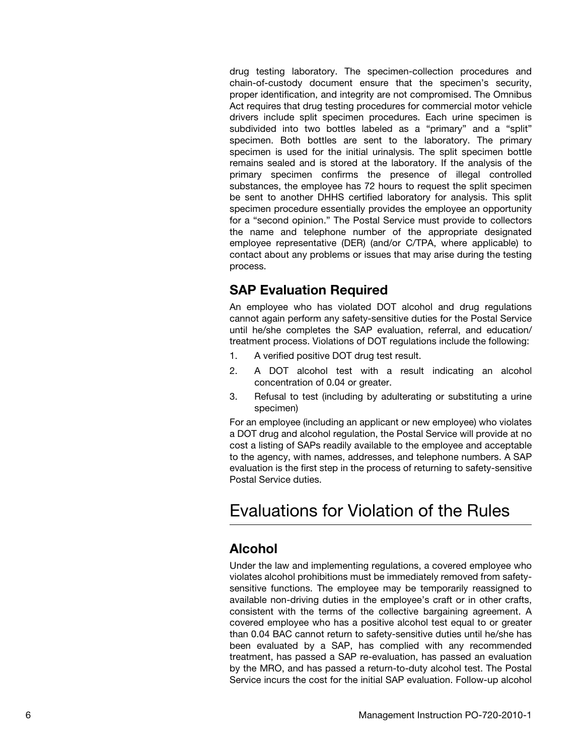drug testing laboratory. The specimen-collection procedures and chain-of-custody document ensure that the specimen's security, proper identification, and integrity are not compromised. The Omnibus Act requires that drug testing procedures for commercial motor vehicle drivers include split specimen procedures. Each urine specimen is subdivided into two bottles labeled as a "primary" and a "split" specimen. Both bottles are sent to the laboratory. The primary specimen is used for the initial urinalysis. The split specimen bottle remains sealed and is stored at the laboratory. If the analysis of the primary specimen confirms the presence of illegal controlled substances, the employee has 72 hours to request the split specimen be sent to another DHHS certified laboratory for analysis. This split specimen procedure essentially provides the employee an opportunity for a "second opinion." The Postal Service must provide to collectors the name and telephone number of the appropriate designated employee representative (DER) (and/or C/TPA, where applicable) to contact about any problems or issues that may arise during the testing process.

## <span id="page-5-0"></span>SAP Evaluation Required

An employee who has violated DOT alcohol and drug regulations cannot again perform any safety-sensitive duties for the Postal Service until he/she completes the SAP evaluation, referral, and education/ treatment process. Violations of DOT regulations include the following:

- 1. A verified positive DOT drug test result.
- 2. A DOT alcohol test with a result indicating an alcohol concentration of 0.04 or greater.
- 3. Refusal to test (including by adulterating or substituting a urine specimen)

For an employee (including an applicant or new employee) who violates a DOT drug and alcohol regulation, the Postal Service will provide at no cost a listing of SAPs readily available to the employee and acceptable to the agency, with names, addresses, and telephone numbers. A SAP evaluation is the first step in the process of returning to safety-sensitive Postal Service duties.

# <span id="page-5-1"></span>Evaluations for Violation of the Rules

# <span id="page-5-2"></span>Alcohol

Under the law and implementing regulations, a covered employee who violates alcohol prohibitions must be immediately removed from safetysensitive functions. The employee may be temporarily reassigned to available non-driving duties in the employee's craft or in other crafts, consistent with the terms of the collective bargaining agreement. A covered employee who has a positive alcohol test equal to or greater than 0.04 BAC cannot return to safety-sensitive duties until he/she has been evaluated by a SAP, has complied with any recommended treatment, has passed a SAP re-evaluation, has passed an evaluation by the MRO, and has passed a return-to-duty alcohol test. The Postal Service incurs the cost for the initial SAP evaluation. Follow-up alcohol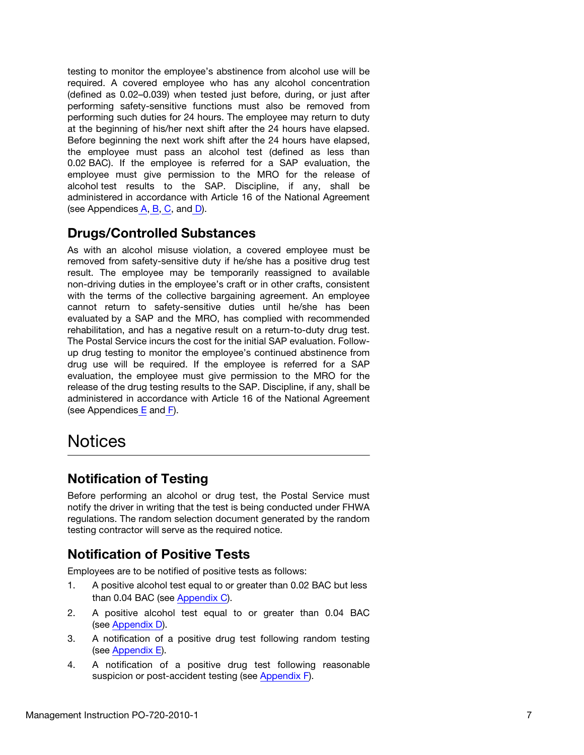testing to monitor the employee's abstinence from alcohol use will be required. A covered employee who has any alcohol concentration (defined as 0.02–0.039) when tested just before, during, or just after performing safety-sensitive functions must also be removed from performing such duties for 24 hours. The employee may return to duty at the beginning of his/her next shift after the 24 hours have elapsed. Before beginning the next work shift after the 24 hours have elapsed, the employee must pass an alcohol test (defined as less than 0.02 BAC). If the employee is referred for a SAP evaluation, the employee must give permission to the MRO for the release of alcohol test results to the SAP. Discipline, if any, shall be administered in accordance with Article 16 of the National Agreement (see Appendices [A](#page-9-1)[, B,](#page-11-0) [C](#page-12-0), and [D\)](#page-13-0).

## Drugs/Controlled Substances

As with an alcohol misuse violation, a covered employee must be removed from safety-sensitive duty if he/she has a positive drug test result. The employee may be temporarily reassigned to available non-driving duties in the employee's craft or in other crafts, consistent with the terms of the collective bargaining agreement. An employee cannot return to safety-sensitive duties until he/she has been evaluated by a SAP and the MRO, has complied with recommended rehabilitation, and has a negative result on a return-to-duty drug test. The Postal Service incurs the cost for the initial SAP evaluation. Followup drug testing to monitor the employee's continued abstinence from drug use will be required. If the employee is referred for a SAP evaluation, the employee must give permission to the MRO for the release of the drug testing results to the SAP. Discipline, if any, shall be administered in accordance with Article 16 of the National Agreement (see Appendices  $E$  and  $F$ ).

# <span id="page-6-0"></span>**Notices**

# <span id="page-6-1"></span>Notification of Testing

Before performing an alcohol or drug test, the Postal Service must notify the driver in writing that the test is being conducted under FHWA regulations. The random selection document generated by the random testing contractor will serve as the required notice.

# <span id="page-6-2"></span>Notification of Positive Tests

Employees are to be notified of positive tests as follows:

- 1. A positive alcohol test equal to or greater than 0.02 BAC but less than 0.04 BAC (see [Appendix C](#page-12-1)).
- 2. A positive alcohol test equal to or greater than 0.04 BAC (see [Appendix D](#page-13-1)).
- 3. A notification of a positive drug test following random testing (see [Appendix E](#page-15-0)).
- 4. A notification of a positive drug test following reasonable suspicion or post-accident testing (see [Appendix F\)](#page-16-1).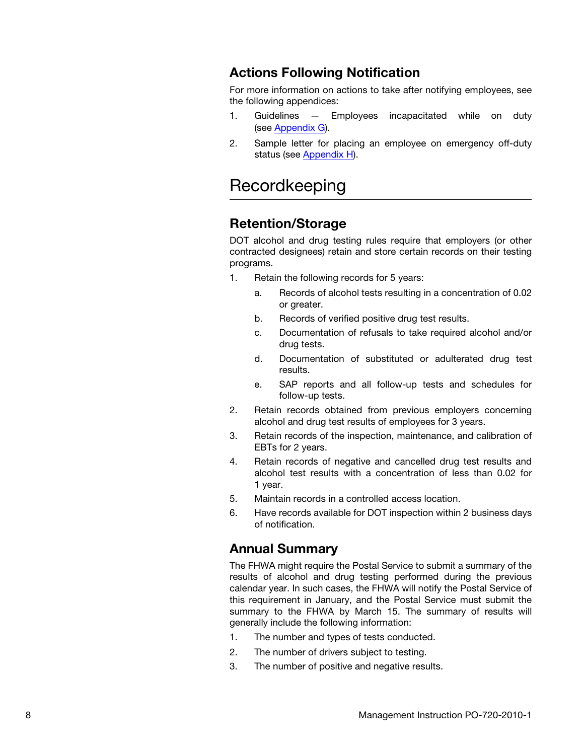## <span id="page-7-0"></span>Actions Following Notification

For more information on actions to take after notifying employees, see the following appendices:

- 1. Guidelines Employees incapacitated while on duty (see [Appendix G\)](#page-18-0).
- 2. Sample letter for placing an employee on emergency off-duty status (see [Appendix H](#page-19-0)).

# <span id="page-7-1"></span>Recordkeeping

#### <span id="page-7-2"></span>Retention/Storage

DOT alcohol and drug testing rules require that employers (or other contracted designees) retain and store certain records on their testing programs.

- 1. Retain the following records for 5 years:
	- a. Records of alcohol tests resulting in a concentration of 0.02 or greater.
	- b. Records of verified positive drug test results.
	- c. Documentation of refusals to take required alcohol and/or drug tests.
	- d. Documentation of substituted or adulterated drug test results.
	- e. SAP reports and all follow-up tests and schedules for follow-up tests.
- 2. Retain records obtained from previous employers concerning alcohol and drug test results of employees for 3 years.
- 3. Retain records of the inspection, maintenance, and calibration of EBTs for 2 years.
- 4. Retain records of negative and cancelled drug test results and alcohol test results with a concentration of less than 0.02 for 1 year.
- 5. Maintain records in a controlled access location.
- 6. Have records available for DOT inspection within 2 business days of notification.

## <span id="page-7-3"></span>Annual Summary

The FHWA might require the Postal Service to submit a summary of the results of alcohol and drug testing performed during the previous calendar year. In such cases, the FHWA will notify the Postal Service of this requirement in January, and the Postal Service must submit the summary to the FHWA by March 15. The summary of results will generally include the following information:

- 1. The number and types of tests conducted.
- 2. The number of drivers subject to testing.
- 3. The number of positive and negative results.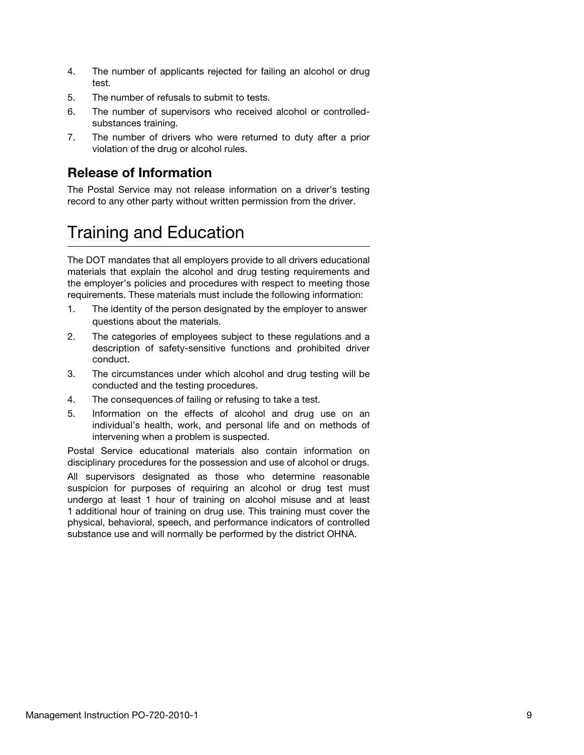- 4. The number of applicants rejected for failing an alcohol or drug test.
- 5. The number of refusals to submit to tests.
- 6. The number of supervisors who received alcohol or controlledsubstances training.
- 7. The number of drivers who were returned to duty after a prior violation of the drug or alcohol rules.

# <span id="page-8-0"></span>Release of Information

The Postal Service may not release information on a driver's testing record to any other party without written permission from the driver.

# <span id="page-8-1"></span>Training and Education

The DOT mandates that all employers provide to all drivers educational materials that explain the alcohol and drug testing requirements and the employer's policies and procedures with respect to meeting those requirements. These materials must include the following information:

- 1. The identity of the person designated by the employer to answer questions about the materials.
- 2. The categories of employees subject to these regulations and a description of safety-sensitive functions and prohibited driver conduct.
- 3. The circumstances under which alcohol and drug testing will be conducted and the testing procedures.
- 4. The consequences of failing or refusing to take a test.
- 5. Information on the effects of alcohol and drug use on an individual's health, work, and personal life and on methods of intervening when a problem is suspected.

Postal Service educational materials also contain information on disciplinary procedures for the possession and use of alcohol or drugs.

All supervisors designated as those who determine reasonable suspicion for purposes of requiring an alcohol or drug test must undergo at least 1 hour of training on alcohol misuse and at least 1 additional hour of training on drug use. This training must cover the physical, behavioral, speech, and performance indicators of controlled substance use and will normally be performed by the district OHNA.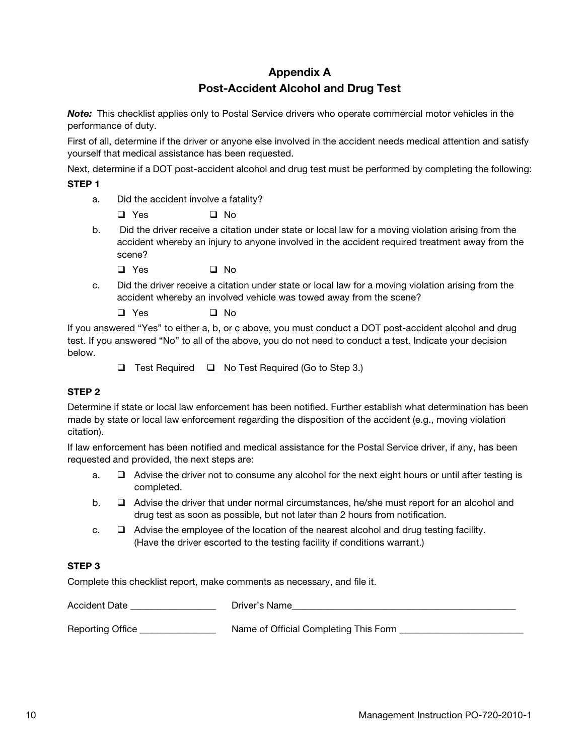#### Appendix A Post-Accident Alcohol and Drug Test

<span id="page-9-1"></span><span id="page-9-0"></span>Note: This checklist applies only to Postal Service drivers who operate commercial motor vehicles in the performance of duty.

First of all, determine if the driver or anyone else involved in the accident needs medical attention and satisfy yourself that medical assistance has been requested.

Next, determine if a DOT post-accident alcohol and drug test must be performed by completing the following:

#### STEP 1

a. Did the accident involve a fatality?

 $\Box$  Yes  $\Box$  No

b. Did the driver receive a citation under state or local law for a moving violation arising from the accident whereby an injury to anyone involved in the accident required treatment away from the scene?

 $\Box$  Yes  $\Box$  No

c. Did the driver receive a citation under state or local law for a moving violation arising from the accident whereby an involved vehicle was towed away from the scene?

 $\Box$  Yes  $\Box$  No

If you answered "Yes" to either a, b, or c above, you must conduct a DOT post-accident alcohol and drug test. If you answered "No" to all of the above, you do not need to conduct a test. Indicate your decision below.

 $\Box$  Test Required  $\Box$  No Test Required (Go to Step 3.)

#### STEP 2

Determine if state or local law enforcement has been notified. Further establish what determination has been made by state or local law enforcement regarding the disposition of the accident (e.g., moving violation citation).

If law enforcement has been notified and medical assistance for the Postal Service driver, if any, has been requested and provided, the next steps are:

- a.  $\Box$  Advise the driver not to consume any alcohol for the next eight hours or until after testing is completed.
- $\mathsf{b}$ .  $\Box$  Advise the driver that under normal circumstances, he/she must report for an alcohol and drug test as soon as possible, but not later than 2 hours from notification.
- c.  $\Box$  Advise the employee of the location of the nearest alcohol and drug testing facility. (Have the driver escorted to the testing facility if conditions warrant.)

#### STEP 3

Complete this checklist report, make comments as necessary, and file it.

Accident Date \_\_\_\_\_\_\_\_\_\_\_\_\_\_\_\_\_\_\_\_\_\_\_\_\_\_\_Driver's Name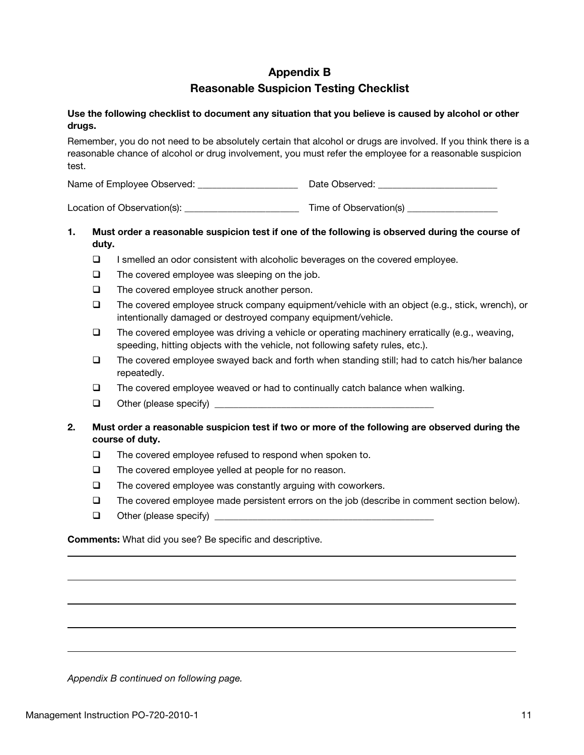### Appendix B Reasonable Suspicion Testing Checklist

#### <span id="page-10-0"></span>Use the following checklist to document any situation that you believe is caused by alcohol or other drugs.

Remember, you do not need to be absolutely certain that alcohol or drugs are involved. If you think there is a reasonable chance of alcohol or drug involvement, you must refer the employee for a reasonable suspicion test.

| Name of Employee Observed: | Date Observed: |
|----------------------------|----------------|
|----------------------------|----------------|

Location of Observation(s): \_\_\_\_\_\_\_\_\_\_\_\_\_\_\_\_\_\_\_\_\_\_\_\_ Time of Observation(s) \_\_\_\_\_\_\_\_\_\_\_\_\_\_\_\_\_\_\_

#### 1. Must order a reasonable suspicion test if one of the following is observed during the course of duty.

- $\Box$  I smelled an odor consistent with alcoholic beverages on the covered employee.
- $\Box$  The covered employee was sleeping on the job.
- $\Box$  The covered employee struck another person.
- $\Box$  The covered employee struck company equipment/vehicle with an object (e.g., stick, wrench), or intentionally damaged or destroyed company equipment/vehicle.
- $\Box$  The covered employee was driving a vehicle or operating machinery erratically (e.g., weaving, speeding, hitting objects with the vehicle, not following safety rules, etc.).
- $\Box$  The covered employee swayed back and forth when standing still; had to catch his/her balance repeatedly.
- The covered employee weaved or had to continually catch balance when walking.
- Other (please specify) \_\_\_\_\_\_\_\_\_\_\_\_\_\_\_\_\_\_\_\_\_\_\_\_\_\_\_\_\_\_\_\_\_\_\_\_\_\_\_\_\_\_\_\_\_\_
- 2. Must order a reasonable suspicion test if two or more of the following are observed during the course of duty.
	- $\Box$  The covered employee refused to respond when spoken to.
	- $\Box$  The covered employee yelled at people for no reason.
	- $\Box$  The covered employee was constantly arguing with coworkers.
	- The covered employee made persistent errors on the job (describe in comment section below).
	- $\Box$  Other (please specify)

Comments: What did you see? Be specific and descriptive.

Appendix B continued on following page.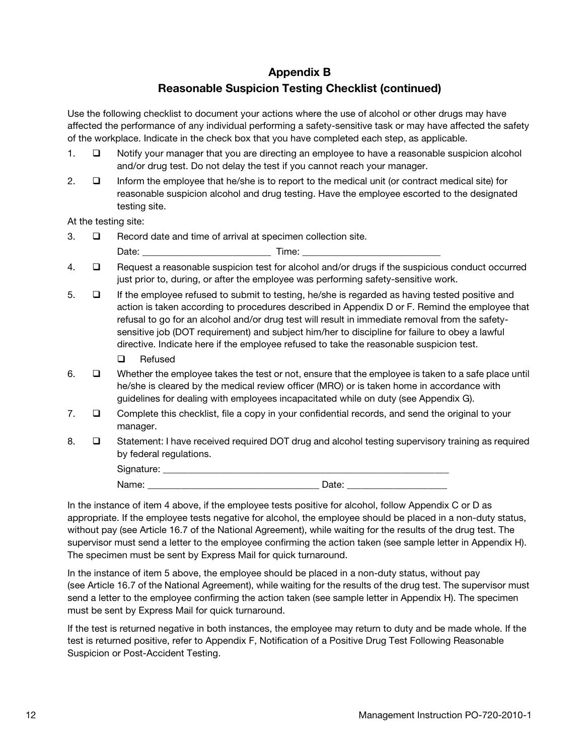## Appendix B Reasonable Suspicion Testing Checklist (continued)

<span id="page-11-0"></span>Use the following checklist to document your actions where the use of alcohol or other drugs may have affected the performance of any individual performing a safety-sensitive task or may have affected the safety of the workplace. Indicate in the check box that you have completed each step, as applicable.

- 1.  $\Box$  Notify your manager that you are directing an employee to have a reasonable suspicion alcohol and/or drug test. Do not delay the test if you cannot reach your manager.
- 2.  $\Box$  Inform the employee that he/she is to report to the medical unit (or contract medical site) for reasonable suspicion alcohol and drug testing. Have the employee escorted to the designated testing site.

At the testing site:

 $3.$   $\square$  Record date and time of arrival at specimen collection site.

|       | $- - - -$ |
|-------|-----------|
| Date: | .         |
| --    |           |

- 4.  $\Box$  Request a reasonable suspicion test for alcohol and/or drugs if the suspicious conduct occurred just prior to, during, or after the employee was performing safety-sensitive work.
- 5.  $\Box$  If the employee refused to submit to testing, he/she is regarded as having tested positive and action is taken according to procedures described in Appendix D or F. Remind the employee that refusal to go for an alcohol and/or drug test will result in immediate removal from the safetysensitive job (DOT requirement) and subject him/her to discipline for failure to obey a lawful directive. Indicate here if the employee refused to take the reasonable suspicion test.
	- □ Refused
- 6.  $\Box$  Whether the employee takes the test or not, ensure that the employee is taken to a safe place until he/she is cleared by the medical review officer (MRO) or is taken home in accordance with guidelines for dealing with employees incapacitated while on duty (see Appendix G).
- 7.  $\Box$  Complete this checklist, file a copy in your confidential records, and send the original to your manager.
- 8.  $\Box$  Statement: I have received required DOT drug and alcohol testing supervisory training as required by federal regulations.

| . . |                      |
|-----|----------------------|
|     | ____________________ |

In the instance of item 4 above, if the employee tests positive for alcohol, follow Appendix C or D as appropriate. If the employee tests negative for alcohol, the employee should be placed in a non-duty status, without pay (see Article 16.7 of the National Agreement), while waiting for the results of the drug test. The supervisor must send a letter to the employee confirming the action taken (see sample letter in Appendix H). The specimen must be sent by Express Mail for quick turnaround.

In the instance of item 5 above, the employee should be placed in a non-duty status, without pay (see Article 16.7 of the National Agreement), while waiting for the results of the drug test. The supervisor must send a letter to the employee confirming the action taken (see sample letter in Appendix H). The specimen must be sent by Express Mail for quick turnaround.

If the test is returned negative in both instances, the employee may return to duty and be made whole. If the test is returned positive, refer to Appendix F, Notification of a Positive Drug Test Following Reasonable Suspicion or Post-Accident Testing.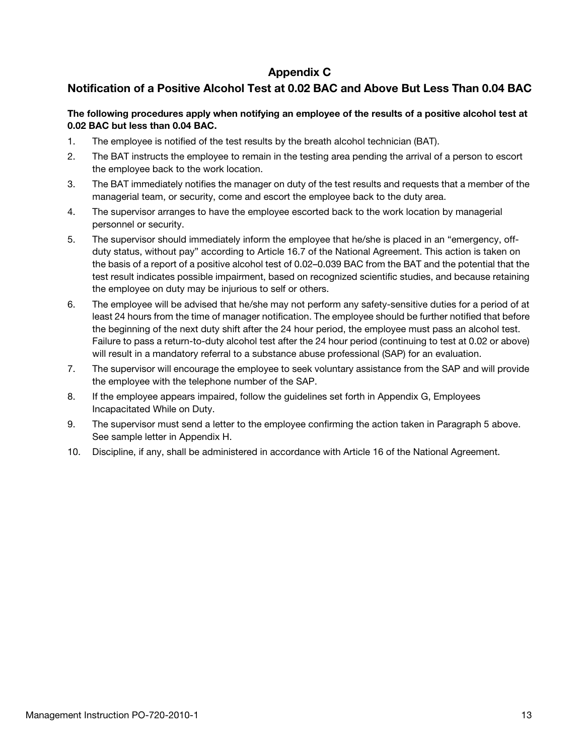#### Appendix C

#### <span id="page-12-1"></span><span id="page-12-0"></span>Notification of a Positive Alcohol Test at 0.02 BAC and Above But Less Than 0.04 BAC

#### The following procedures apply when notifying an employee of the results of a positive alcohol test at 0.02 BAC but less than 0.04 BAC.

- 1. The employee is notified of the test results by the breath alcohol technician (BAT).
- 2. The BAT instructs the employee to remain in the testing area pending the arrival of a person to escort the employee back to the work location.
- 3. The BAT immediately notifies the manager on duty of the test results and requests that a member of the managerial team, or security, come and escort the employee back to the duty area.
- 4. The supervisor arranges to have the employee escorted back to the work location by managerial personnel or security.
- 5. The supervisor should immediately inform the employee that he/she is placed in an "emergency, offduty status, without pay" according to Article 16.7 of the National Agreement. This action is taken on the basis of a report of a positive alcohol test of 0.02–0.039 BAC from the BAT and the potential that the test result indicates possible impairment, based on recognized scientific studies, and because retaining the employee on duty may be injurious to self or others.
- 6. The employee will be advised that he/she may not perform any safety-sensitive duties for a period of at least 24 hours from the time of manager notification. The employee should be further notified that before the beginning of the next duty shift after the 24 hour period, the employee must pass an alcohol test. Failure to pass a return-to-duty alcohol test after the 24 hour period (continuing to test at 0.02 or above) will result in a mandatory referral to a substance abuse professional (SAP) for an evaluation.
- 7. The supervisor will encourage the employee to seek voluntary assistance from the SAP and will provide the employee with the telephone number of the SAP.
- 8. If the employee appears impaired, follow the guidelines set forth in Appendix G, Employees Incapacitated While on Duty.
- 9. The supervisor must send a letter to the employee confirming the action taken in Paragraph 5 above. See sample letter in Appendix H.
- 10. Discipline, if any, shall be administered in accordance with Article 16 of the National Agreement.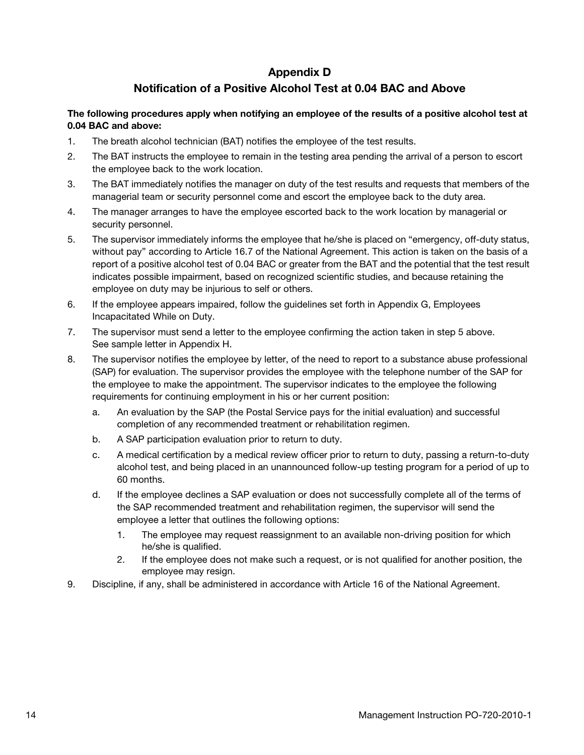#### Appendix D

#### Notification of a Positive Alcohol Test at 0.04 BAC and Above

<span id="page-13-1"></span><span id="page-13-0"></span>The following procedures apply when notifying an employee of the results of a positive alcohol test at 0.04 BAC and above:

- 1. The breath alcohol technician (BAT) notifies the employee of the test results.
- 2. The BAT instructs the employee to remain in the testing area pending the arrival of a person to escort the employee back to the work location.
- 3. The BAT immediately notifies the manager on duty of the test results and requests that members of the managerial team or security personnel come and escort the employee back to the duty area.
- 4. The manager arranges to have the employee escorted back to the work location by managerial or security personnel.
- 5. The supervisor immediately informs the employee that he/she is placed on "emergency, off-duty status, without pay" according to Article 16.7 of the National Agreement. This action is taken on the basis of a report of a positive alcohol test of 0.04 BAC or greater from the BAT and the potential that the test result indicates possible impairment, based on recognized scientific studies, and because retaining the employee on duty may be injurious to self or others.
- 6. If the employee appears impaired, follow the guidelines set forth in Appendix G, Employees Incapacitated While on Duty.
- 7. The supervisor must send a letter to the employee confirming the action taken in step 5 above. See sample letter in Appendix H.
- 8. The supervisor notifies the employee by letter, of the need to report to a substance abuse professional (SAP) for evaluation. The supervisor provides the employee with the telephone number of the SAP for the employee to make the appointment. The supervisor indicates to the employee the following requirements for continuing employment in his or her current position:
	- a. An evaluation by the SAP (the Postal Service pays for the initial evaluation) and successful completion of any recommended treatment or rehabilitation regimen.
	- b. A SAP participation evaluation prior to return to duty.
	- c. A medical certification by a medical review officer prior to return to duty, passing a return-to-duty alcohol test, and being placed in an unannounced follow-up testing program for a period of up to 60 months.
	- d. If the employee declines a SAP evaluation or does not successfully complete all of the terms of the SAP recommended treatment and rehabilitation regimen, the supervisor will send the employee a letter that outlines the following options:
		- 1. The employee may request reassignment to an available non-driving position for which he/she is qualified.
		- 2. If the employee does not make such a request, or is not qualified for another position, the employee may resign.
- 9. Discipline, if any, shall be administered in accordance with Article 16 of the National Agreement.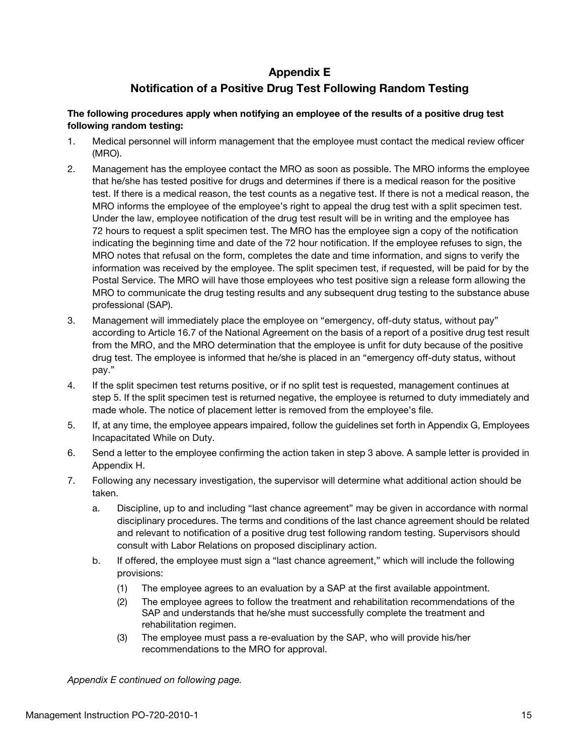## Appendix E

#### Notification of a Positive Drug Test Following Random Testing

#### <span id="page-14-0"></span>The following procedures apply when notifying an employee of the results of a positive drug test following random testing:

- 1. Medical personnel will inform management that the employee must contact the medical review officer (MRO).
- 2. Management has the employee contact the MRO as soon as possible. The MRO informs the employee that he/she has tested positive for drugs and determines if there is a medical reason for the positive test. If there is a medical reason, the test counts as a negative test. If there is not a medical reason, the MRO informs the employee of the employee's right to appeal the drug test with a split specimen test. Under the law, employee notification of the drug test result will be in writing and the employee has 72 hours to request a split specimen test. The MRO has the employee sign a copy of the notification indicating the beginning time and date of the 72 hour notification. If the employee refuses to sign, the MRO notes that refusal on the form, completes the date and time information, and signs to verify the information was received by the employee. The split specimen test, if requested, will be paid for by the Postal Service. The MRO will have those employees who test positive sign a release form allowing the MRO to communicate the drug testing results and any subsequent drug testing to the substance abuse professional (SAP).
- 3. Management will immediately place the employee on "emergency, off-duty status, without pay" according to Article 16.7 of the National Agreement on the basis of a report of a positive drug test result from the MRO, and the MRO determination that the employee is unfit for duty because of the positive drug test. The employee is informed that he/she is placed in an "emergency off-duty status, without pay."
- 4. If the split specimen test returns positive, or if no split test is requested, management continues at step 5. If the split specimen test is returned negative, the employee is returned to duty immediately and made whole. The notice of placement letter is removed from the employee's file.
- 5. If, at any time, the employee appears impaired, follow the guidelines set forth in Appendix G, Employees Incapacitated While on Duty.
- 6. Send a letter to the employee confirming the action taken in step 3 above. A sample letter is provided in Appendix H.
- 7. Following any necessary investigation, the supervisor will determine what additional action should be taken.
	- a. Discipline, up to and including "last chance agreement" may be given in accordance with normal disciplinary procedures. The terms and conditions of the last chance agreement should be related and relevant to notification of a positive drug test following random testing. Supervisors should consult with Labor Relations on proposed disciplinary action.
	- b. If offered, the employee must sign a "last chance agreement," which will include the following provisions:
		- (1) The employee agrees to an evaluation by a SAP at the first available appointment.
		- (2) The employee agrees to follow the treatment and rehabilitation recommendations of the SAP and understands that he/she must successfully complete the treatment and rehabilitation regimen.
		- (3) The employee must pass a re-evaluation by the SAP, who will provide his/her recommendations to the MRO for approval.

Appendix E continued on following page.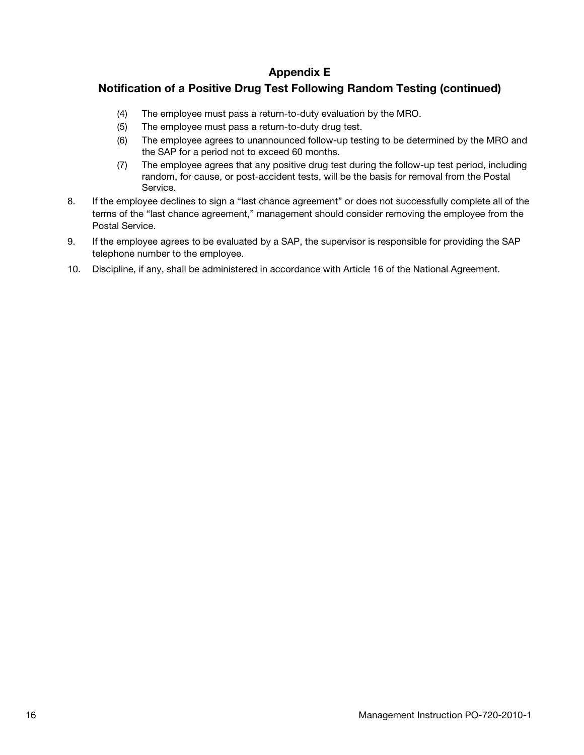#### Appendix E

#### <span id="page-15-0"></span>Notification of a Positive Drug Test Following Random Testing (continued)

- (4) The employee must pass a return-to-duty evaluation by the MRO.
- (5) The employee must pass a return-to-duty drug test.
- (6) The employee agrees to unannounced follow-up testing to be determined by the MRO and the SAP for a period not to exceed 60 months.
- (7) The employee agrees that any positive drug test during the follow-up test period, including random, for cause, or post-accident tests, will be the basis for removal from the Postal Service.
- 8. If the employee declines to sign a "last chance agreement" or does not successfully complete all of the terms of the "last chance agreement," management should consider removing the employee from the Postal Service.
- 9. If the employee agrees to be evaluated by a SAP, the supervisor is responsible for providing the SAP telephone number to the employee.
- 10. Discipline, if any, shall be administered in accordance with Article 16 of the National Agreement.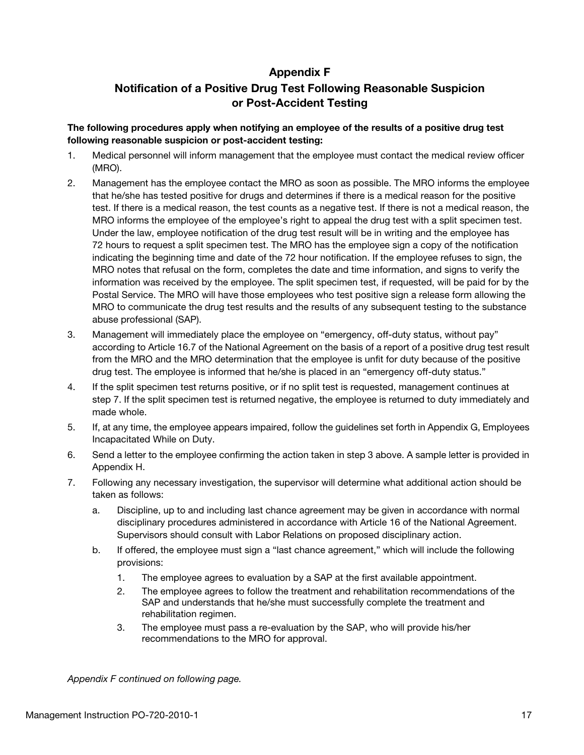#### Appendix F

## <span id="page-16-0"></span>Notification of a Positive Drug Test Following Reasonable Suspicion or Post-Accident Testing

#### <span id="page-16-1"></span>The following procedures apply when notifying an employee of the results of a positive drug test following reasonable suspicion or post-accident testing:

- 1. Medical personnel will inform management that the employee must contact the medical review officer (MRO).
- 2. Management has the employee contact the MRO as soon as possible. The MRO informs the employee that he/she has tested positive for drugs and determines if there is a medical reason for the positive test. If there is a medical reason, the test counts as a negative test. If there is not a medical reason, the MRO informs the employee of the employee's right to appeal the drug test with a split specimen test. Under the law, employee notification of the drug test result will be in writing and the employee has 72 hours to request a split specimen test. The MRO has the employee sign a copy of the notification indicating the beginning time and date of the 72 hour notification. If the employee refuses to sign, the MRO notes that refusal on the form, completes the date and time information, and signs to verify the information was received by the employee. The split specimen test, if requested, will be paid for by the Postal Service. The MRO will have those employees who test positive sign a release form allowing the MRO to communicate the drug test results and the results of any subsequent testing to the substance abuse professional (SAP).
- 3. Management will immediately place the employee on "emergency, off-duty status, without pay" according to Article 16.7 of the National Agreement on the basis of a report of a positive drug test result from the MRO and the MRO determination that the employee is unfit for duty because of the positive drug test. The employee is informed that he/she is placed in an "emergency off-duty status."
- 4. If the split specimen test returns positive, or if no split test is requested, management continues at step 7. If the split specimen test is returned negative, the employee is returned to duty immediately and made whole.
- 5. If, at any time, the employee appears impaired, follow the guidelines set forth in Appendix G, Employees Incapacitated While on Duty.
- 6. Send a letter to the employee confirming the action taken in step 3 above. A sample letter is provided in Appendix H.
- 7. Following any necessary investigation, the supervisor will determine what additional action should be taken as follows:
	- a. Discipline, up to and including last chance agreement may be given in accordance with normal disciplinary procedures administered in accordance with Article 16 of the National Agreement. Supervisors should consult with Labor Relations on proposed disciplinary action.
	- b. If offered, the employee must sign a "last chance agreement," which will include the following provisions:
		- 1. The employee agrees to evaluation by a SAP at the first available appointment.
		- 2. The employee agrees to follow the treatment and rehabilitation recommendations of the SAP and understands that he/she must successfully complete the treatment and rehabilitation regimen.
		- 3. The employee must pass a re-evaluation by the SAP, who will provide his/her recommendations to the MRO for approval.

Appendix F continued on following page.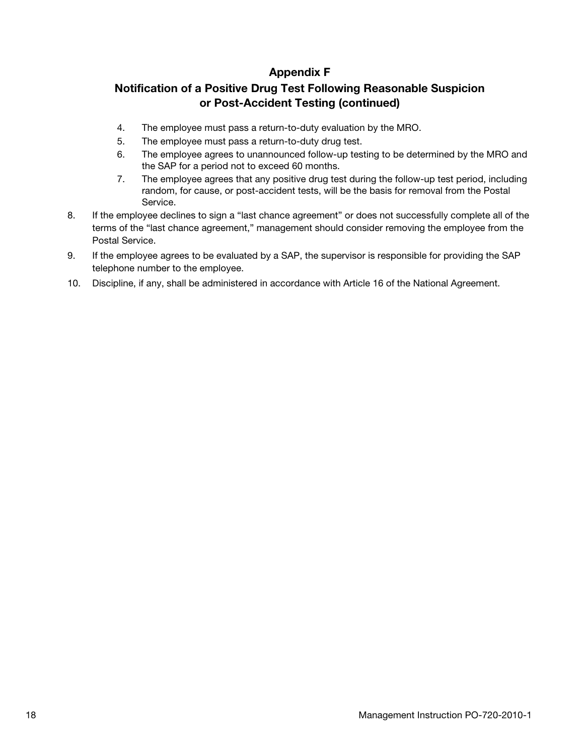#### Appendix F

#### Notification of a Positive Drug Test Following Reasonable Suspicion or Post-Accident Testing (continued)

- 4. The employee must pass a return-to-duty evaluation by the MRO.
- 5. The employee must pass a return-to-duty drug test.
- 6. The employee agrees to unannounced follow-up testing to be determined by the MRO and the SAP for a period not to exceed 60 months.
- 7. The employee agrees that any positive drug test during the follow-up test period, including random, for cause, or post-accident tests, will be the basis for removal from the Postal Service.
- 8. If the employee declines to sign a "last chance agreement" or does not successfully complete all of the terms of the "last chance agreement," management should consider removing the employee from the Postal Service.
- 9. If the employee agrees to be evaluated by a SAP, the supervisor is responsible for providing the SAP telephone number to the employee.
- 10. Discipline, if any, shall be administered in accordance with Article 16 of the National Agreement.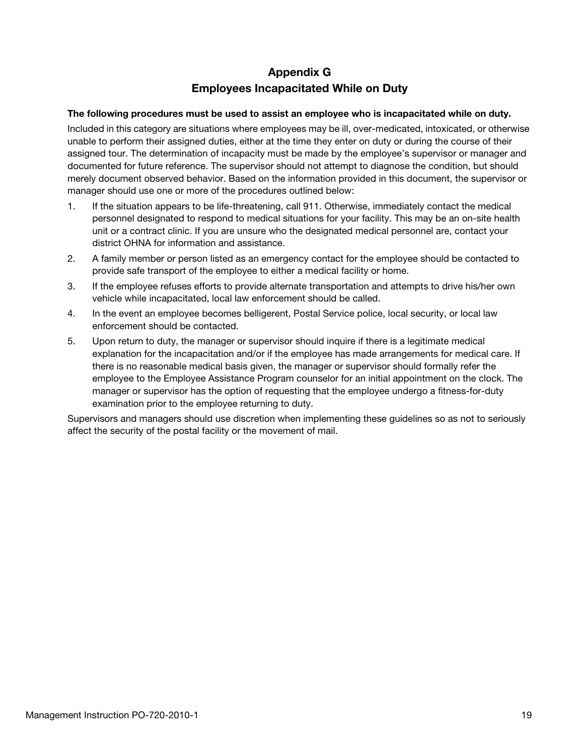## Appendix G Employees Incapacitated While on Duty

#### <span id="page-18-0"></span>The following procedures must be used to assist an employee who is incapacitated while on duty.

Included in this category are situations where employees may be ill, over-medicated, intoxicated, or otherwise unable to perform their assigned duties, either at the time they enter on duty or during the course of their assigned tour. The determination of incapacity must be made by the employee's supervisor or manager and documented for future reference. The supervisor should not attempt to diagnose the condition, but should merely document observed behavior. Based on the information provided in this document, the supervisor or manager should use one or more of the procedures outlined below:

- 1. If the situation appears to be life-threatening, call 911. Otherwise, immediately contact the medical personnel designated to respond to medical situations for your facility. This may be an on-site health unit or a contract clinic. If you are unsure who the designated medical personnel are, contact your district OHNA for information and assistance.
- 2. A family member or person listed as an emergency contact for the employee should be contacted to provide safe transport of the employee to either a medical facility or home.
- 3. If the employee refuses efforts to provide alternate transportation and attempts to drive his/her own vehicle while incapacitated, local law enforcement should be called.
- 4. In the event an employee becomes belligerent, Postal Service police, local security, or local law enforcement should be contacted.
- 5. Upon return to duty, the manager or supervisor should inquire if there is a legitimate medical explanation for the incapacitation and/or if the employee has made arrangements for medical care. If there is no reasonable medical basis given, the manager or supervisor should formally refer the employee to the Employee Assistance Program counselor for an initial appointment on the clock. The manager or supervisor has the option of requesting that the employee undergo a fitness-for-duty examination prior to the employee returning to duty.

Supervisors and managers should use discretion when implementing these guidelines so as not to seriously affect the security of the postal facility or the movement of mail.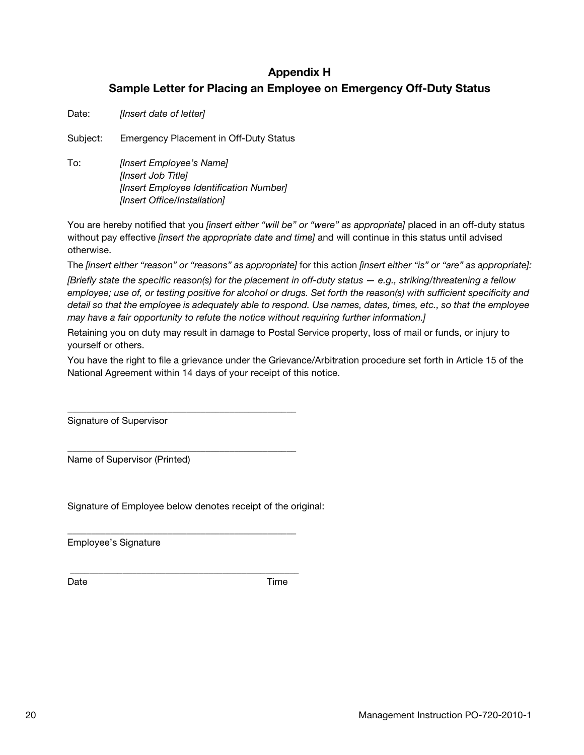## Appendix H Sample Letter for Placing an Employee on Emergency Off-Duty Status

<span id="page-19-0"></span>Date: [Insert date of letter]

Subject: Emergency Placement in Off-Duty Status

To: [Insert Employee's Name] [Insert Job Title] [Insert Employee Identification Number] [Insert Office/Installation]

You are hereby notified that you [insert either "will be" or "were" as appropriate] placed in an off-duty status without pay effective *[insert the appropriate date and time]* and will continue in this status until advised otherwise.

The [insert either "reason" or "reasons" as appropriate] for this action [insert either "is" or "are" as appropriate]: [Briefly state the specific reason(s) for the placement in off-duty status  $-$  e.g., striking/threatening a fellow employee; use of, or testing positive for alcohol or drugs. Set forth the reason(s) with sufficient specificity and detail so that the employee is adequately able to respond. Use names, dates, times, etc., so that the employee may have a fair opportunity to refute the notice without requiring further information.]

Retaining you on duty may result in damage to Postal Service property, loss of mail or funds, or injury to yourself or others.

You have the right to file a grievance under the Grievance/Arbitration procedure set forth in Article 15 of the National Agreement within 14 days of your receipt of this notice.

Signature of Supervisor

Name of Supervisor (Printed)

Signature of Employee below denotes receipt of the original:

\_\_\_\_\_\_\_\_\_\_\_\_\_\_\_\_\_\_\_\_\_\_\_\_\_\_\_\_\_\_\_\_\_\_\_\_\_\_\_\_\_\_\_\_\_\_\_\_

\_\_\_\_\_\_\_\_\_\_\_\_\_\_\_\_\_\_\_\_\_\_\_\_\_\_\_\_\_\_\_\_\_\_\_\_\_\_\_\_\_\_\_\_\_\_\_\_

\_\_\_\_\_\_\_\_\_\_\_\_\_\_\_\_\_\_\_\_\_\_\_\_\_\_\_\_\_\_\_\_\_\_\_\_\_\_\_\_\_\_\_\_\_\_\_\_

\_\_\_\_\_\_\_\_\_\_\_\_\_\_\_\_\_\_\_\_\_\_\_\_\_\_\_\_\_\_\_\_\_\_\_\_\_\_\_\_\_\_\_\_\_\_\_\_

Employee's Signature

Date **Date Date** *Date Date Date*